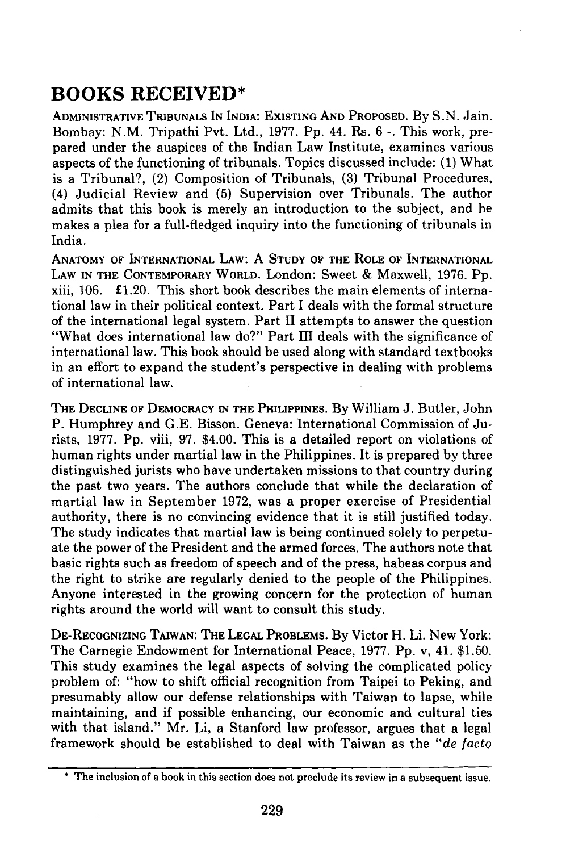## **BOOKS RECEIVED\***

**ADMINISTRATIVE TRIBUNALS IN INDIA: EXISTING AND** PROPOSED. **By S.N.** Jain. **Bombay: N.M.** Tripathi Pvt. Ltd., **1977. Pp.** 44. Rs. 6 **-.** This work, prepared under the auspices of the Indian Law Institute, examines various aspects of the functioning of tribunals. Topics discussed include: **(1)** What is a Tribunal?, (2) Composition of Tribunals, **(3)** Tribunal Procedures, (4) Judicial Review and **(5)** Supervision over Tribunals. The author admits that this book is merely an introduction to the subject, and he makes a plea for a full-fledged inquiry into the functioning of tribunals in India.

**ANATOMY OF INTERNATIONAL LAW: A STUDY OF THE ROLE OF INTERNATIONAL LAW IN THE CONTEMPORARY WORLD. London:** Sweet **&** Maxwell, **1976. Pp.** xiii, **106. £1.20.** This short book describes **the** main elements of international law in their political context. Part **I** deals with the formal structure of the international legal system. Part **II** attempts to answer the question "What does international law do?" Part **III** deals with the significance of international law. This book should be used along with standard textbooks in an effort to expand the student's perspective in dealing with problems of international law.

**THE** DECLINE OF **DEMOCRACY IN THE** PHILIPPINES. **By** William **J.** Butler, John P. Humphrey and G.E. Bisson. **Geneva:** International Commission **of** Jurists, **1977.** Pp. viii, **97.** \$4.00. This is a detailed report on violations **of** human rights under martial law in the Philippines. It is prepared by three distinguished jurists who have undertaken missions to that country during the past two years. The authors conclude that while the declaration of martial law in September **1972,** was a proper exercise of Presidential authority, there is no convincing **evidence** that it is still justified today. The study indicates that martial law is being continued solely to perpetuate the power of the President and the armed forces. The authors note that basic rights such as freedom of speech and of the press, habeas corpus and the right to strike are regularly denied to the people of the Philippines. Anyone interested in the growing concern for the protection of human rights around the world will want to consult this study.

**DE-RECOGNIZING TAIWAN: THE LEGAL PROBLEMS. By** Victor H. Li. New York: The Carnegie Endowment for International Peace, **1977. Pp.** v, 41. **\$1.50.** This study examines the legal aspects of solving the complicated policy problem of: "how to shift official recognition from Taipei to Peking, and presumably allow our defense relationships with Taiwan to lapse, while **maintaining, and** if possible enhancing, our economic and cultural ties with that island." Mr. Li, **a Stanford law professor, argues** that a legal **framework should** be established to deal with Taiwan as **the** "de facto

**<sup>\*</sup>** The inclusion of a book in this section does not preclude its review in a subsequent issue.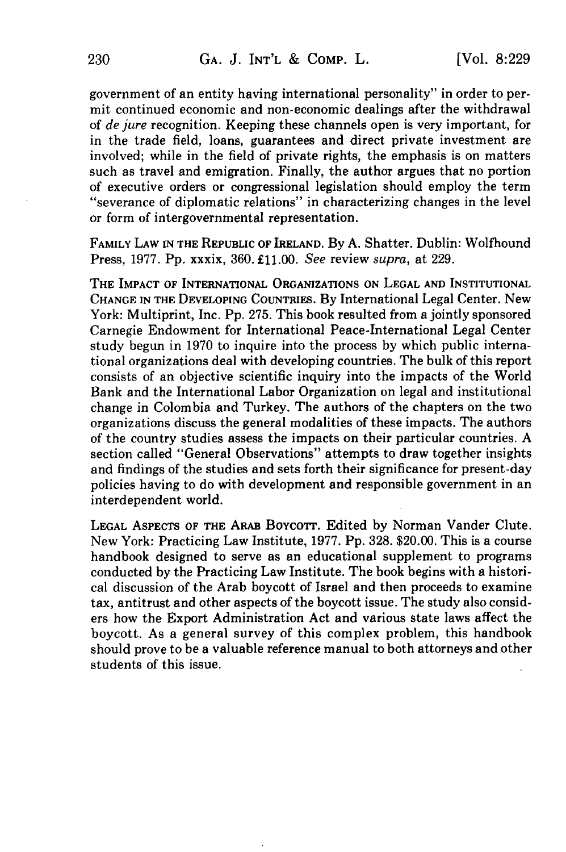government of an entity having international personality" in order to permit continued economic and non-economic dealings after the withdrawal of de jure recognition. Keeping these channels open is very important, for in the trade field, loans, guarantees and direct private investment are involved; while in the field of private rights, the emphasis is on matters such as travel and emigration. Finally, the author argues that no portion of executive orders or congressional legislation should employ the term "severance of diplomatic relations" in characterizing changes in the level or form of intergovernmental representation.

FAMILY LAW IN **THE** REPUBLIC OF IRELAND. By A. Shatter. Dublin: Wolfhound Press, 1977. Pp. xxxix, 360. £11.00. See review supra, at 229.

THE IMPACT OF INTERNATIONAL ORGANIZATIONS ON LEGAL **AND** INSTITUTIONAL CHANGE **IN** THE DEVELOPING COUNTRIES. By International Legal Center. New York: Multiprint, Inc. Pp. 275. This book resulted from a jointly sponsored Carnegie Endowment for International Peace-International Legal Center study begun in 1970 to inquire into the process by which public international organizations deal with developing countries. The bulk of this report consists of an objective scientific inquiry into the impacts of the World Bank and the International Labor Organization on legal and institutional change in Colombia and Turkey. The authors of the chapters on the two organizations discuss the general modalities of these impacts. The authors of the country studies assess the impacts on their particular countries. A section called "General Observations" attempts to draw together insights and findings of the studies and sets forth their significance for present-day policies having to do with development and responsible government in an interdependent world.

**LEGAL ASPECTS** OF THE **ARAB** BOYcoTr. Edited by Norman Vander Clute. New York: Practicing Law Institute, 1977. Pp. 328. \$20.00. This is a course handbook designed to serve as an educational supplement to programs conducted by the Practicing Law Institute. The book begins with a historical discussion of the Arab boycott of Israel and then proceeds to examine tax, antitrust and other aspects of the boycott issue. The study also considers how the Export Administration Act and various state laws affect the boycott. As a general survey of this complex problem, this handbook should prove to be a valuable reference manual to both attorneys and other students of this issue.